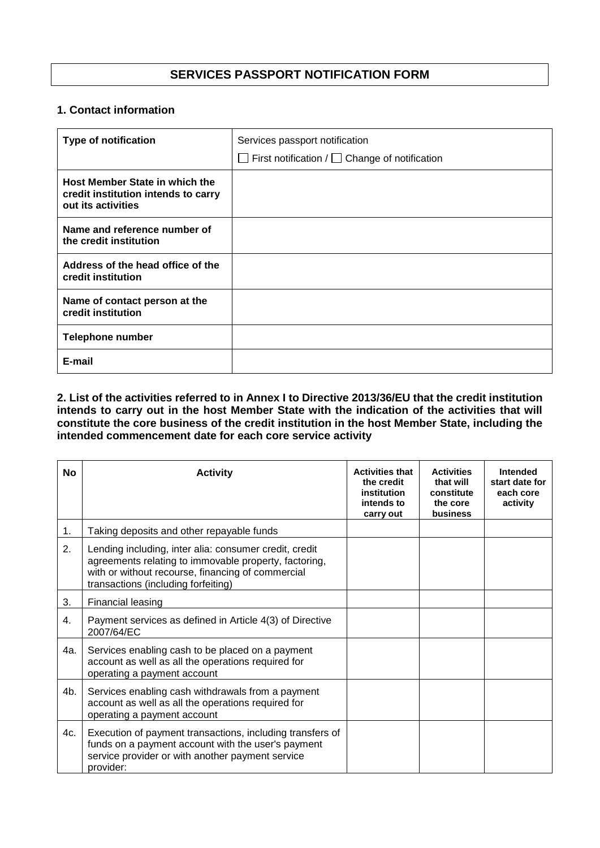## **SERVICES PASSPORT NOTIFICATION FORM**

## **1. Contact information**

| <b>Type of notification</b>                                                                 | Services passport notification<br>$\Box$ First notification / $\Box$ Change of notification |
|---------------------------------------------------------------------------------------------|---------------------------------------------------------------------------------------------|
| Host Member State in which the<br>credit institution intends to carry<br>out its activities |                                                                                             |
| Name and reference number of<br>the credit institution                                      |                                                                                             |
| Address of the head office of the<br>credit institution                                     |                                                                                             |
| Name of contact person at the<br>credit institution                                         |                                                                                             |
| <b>Telephone number</b>                                                                     |                                                                                             |
| E-mail                                                                                      |                                                                                             |

## **2. List of the activities referred to in Annex I to Directive 2013/36/EU that the credit institution intends to carry out in the host Member State with the indication of the activities that will constitute the core business of the credit institution in the host Member State, including the intended commencement date for each core service activity**

| No  | <b>Activity</b>                                                                                                                                                                                             | <b>Activities that</b><br>the credit<br>institution<br>intends to<br>carry out | <b>Activities</b><br>that will<br>constitute<br>the core<br>business | Intended<br>start date for<br>each core<br>activity |
|-----|-------------------------------------------------------------------------------------------------------------------------------------------------------------------------------------------------------------|--------------------------------------------------------------------------------|----------------------------------------------------------------------|-----------------------------------------------------|
| 1.  | Taking deposits and other repayable funds                                                                                                                                                                   |                                                                                |                                                                      |                                                     |
| 2.  | Lending including, inter alia: consumer credit, credit<br>agreements relating to immovable property, factoring,<br>with or without recourse, financing of commercial<br>transactions (including forfeiting) |                                                                                |                                                                      |                                                     |
| 3.  | Financial leasing                                                                                                                                                                                           |                                                                                |                                                                      |                                                     |
| 4.  | Payment services as defined in Article 4(3) of Directive<br>2007/64/EC                                                                                                                                      |                                                                                |                                                                      |                                                     |
| 4a. | Services enabling cash to be placed on a payment<br>account as well as all the operations required for<br>operating a payment account                                                                       |                                                                                |                                                                      |                                                     |
| 4b. | Services enabling cash withdrawals from a payment<br>account as well as all the operations required for<br>operating a payment account                                                                      |                                                                                |                                                                      |                                                     |
| 4c. | Execution of payment transactions, including transfers of<br>funds on a payment account with the user's payment<br>service provider or with another payment service<br>provider:                            |                                                                                |                                                                      |                                                     |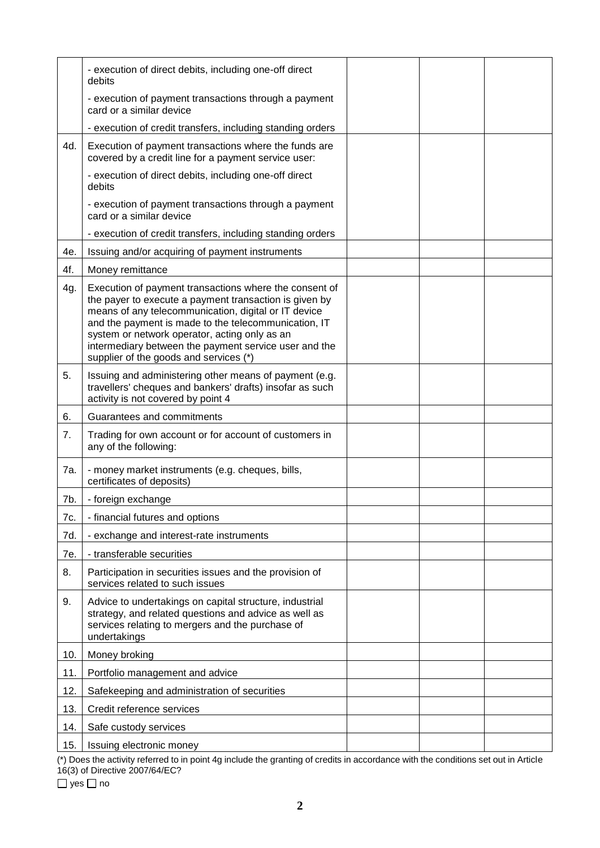|     | - execution of direct debits, including one-off direct<br>debits                                                                                                                                                                                                                                                                                                                     |  |  |
|-----|--------------------------------------------------------------------------------------------------------------------------------------------------------------------------------------------------------------------------------------------------------------------------------------------------------------------------------------------------------------------------------------|--|--|
|     | - execution of payment transactions through a payment<br>card or a similar device                                                                                                                                                                                                                                                                                                    |  |  |
|     | - execution of credit transfers, including standing orders                                                                                                                                                                                                                                                                                                                           |  |  |
| 4d. | Execution of payment transactions where the funds are<br>covered by a credit line for a payment service user:                                                                                                                                                                                                                                                                        |  |  |
|     | - execution of direct debits, including one-off direct<br>debits                                                                                                                                                                                                                                                                                                                     |  |  |
|     | - execution of payment transactions through a payment<br>card or a similar device                                                                                                                                                                                                                                                                                                    |  |  |
|     | - execution of credit transfers, including standing orders                                                                                                                                                                                                                                                                                                                           |  |  |
| 4e. | Issuing and/or acquiring of payment instruments                                                                                                                                                                                                                                                                                                                                      |  |  |
| 4f. | Money remittance                                                                                                                                                                                                                                                                                                                                                                     |  |  |
| 4g. | Execution of payment transactions where the consent of<br>the payer to execute a payment transaction is given by<br>means of any telecommunication, digital or IT device<br>and the payment is made to the telecommunication, IT<br>system or network operator, acting only as an<br>intermediary between the payment service user and the<br>supplier of the goods and services (*) |  |  |
| 5.  | Issuing and administering other means of payment (e.g.<br>travellers' cheques and bankers' drafts) insofar as such<br>activity is not covered by point 4                                                                                                                                                                                                                             |  |  |
| 6.  | Guarantees and commitments                                                                                                                                                                                                                                                                                                                                                           |  |  |
|     |                                                                                                                                                                                                                                                                                                                                                                                      |  |  |
| 7.  | Trading for own account or for account of customers in<br>any of the following:                                                                                                                                                                                                                                                                                                      |  |  |
| 7a. | - money market instruments (e.g. cheques, bills,<br>certificates of deposits)                                                                                                                                                                                                                                                                                                        |  |  |
| 7b. | - foreign exchange                                                                                                                                                                                                                                                                                                                                                                   |  |  |
| 7c. | - financial futures and options                                                                                                                                                                                                                                                                                                                                                      |  |  |
| 7d. | - exchange and interest-rate instruments                                                                                                                                                                                                                                                                                                                                             |  |  |
| 7e. | - transferable securities                                                                                                                                                                                                                                                                                                                                                            |  |  |
| 8.  | Participation in securities issues and the provision of<br>services related to such issues                                                                                                                                                                                                                                                                                           |  |  |
| 9.  | Advice to undertakings on capital structure, industrial<br>strategy, and related questions and advice as well as<br>services relating to mergers and the purchase of<br>undertakings                                                                                                                                                                                                 |  |  |
| 10. | Money broking                                                                                                                                                                                                                                                                                                                                                                        |  |  |
| 11. | Portfolio management and advice                                                                                                                                                                                                                                                                                                                                                      |  |  |
| 12. | Safekeeping and administration of securities                                                                                                                                                                                                                                                                                                                                         |  |  |
| 13. | Credit reference services                                                                                                                                                                                                                                                                                                                                                            |  |  |
| 14. | Safe custody services                                                                                                                                                                                                                                                                                                                                                                |  |  |

(\*) Does the activity referred to in point 4g include the granting of credits in accordance with the conditions set out in Article 16(3) of Directive 2007/64/EC?

 $\Box$  yes  $\Box$  no